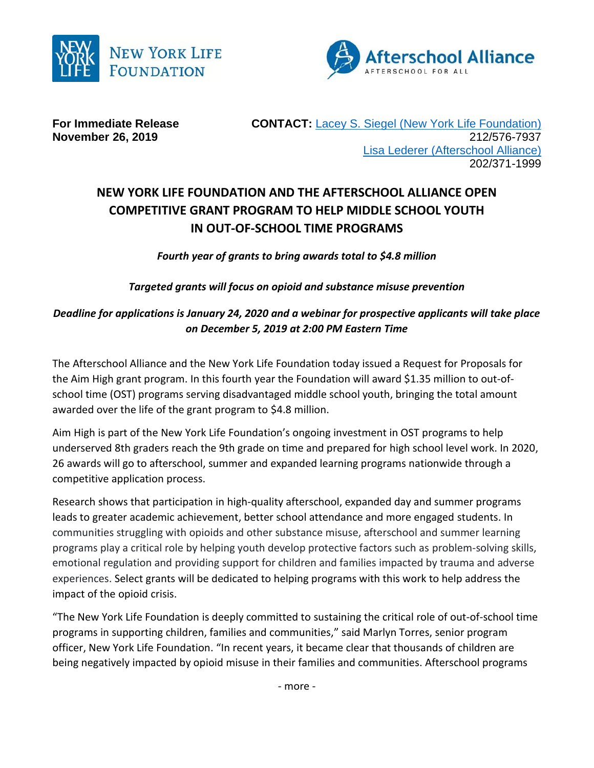



**For Immediate Release CONTACT: [Lacey S. Siegel \(New York Life Foundation\)](mailto:lacey_s_siegel@newyorklife.com?subject=New%20York%20Life%20Fdtn/Afterschool%20Alliance) November 26, 2019** 212/576-7937 [Lisa Lederer \(Afterschool Alliance\)](mailto:lisa@prsolutionsdc.com?subject=New%20York%20Life%20Fdtn/Afterschool%20Alliance) 202/371-1999

## **NEW YORK LIFE FOUNDATION AND THE AFTERSCHOOL ALLIANCE OPEN COMPETITIVE GRANT PROGRAM TO HELP MIDDLE SCHOOL YOUTH IN OUT-OF-SCHOOL TIME PROGRAMS**

*Fourth year of grants to bring awards total to \$4.8 million*

*Targeted grants will focus on opioid and substance misuse prevention*

## *Deadline for applications is January 24, 2020 and a webinar for prospective applicants will take place on December 5, 2019 at 2:00 PM Eastern Time*

The Afterschool Alliance and the New York Life Foundation today issued a Request for Proposals for the Aim High grant program. In this fourth year the Foundation will award \$1.35 million to out-ofschool time (OST) programs serving disadvantaged middle school youth, bringing the total amount awarded over the life of the grant program to \$4.8 million.

Aim High is part of the New York Life Foundation's ongoing investment in OST programs to help underserved 8th graders reach the 9th grade on time and prepared for high school level work. In 2020, 26 awards will go to afterschool, summer and expanded learning programs nationwide through a competitive application process.

Research shows that participation in high-quality afterschool, expanded day and summer programs leads to greater academic achievement, better school attendance and more engaged students. In communities struggling with opioids and other substance misuse, afterschool and summer learning programs play a critical role by helping youth develop protective factors such as problem-solving skills, emotional regulation and providing support for children and families impacted by trauma and adverse experiences. Select grants will be dedicated to helping programs with this work to help address the impact of the opioid crisis.

"The New York Life Foundation is deeply committed to sustaining the critical role of out-of-school time programs in supporting children, families and communities," said Marlyn Torres, senior program officer, New York Life Foundation. "In recent years, it became clear that thousands of children are being negatively impacted by opioid misuse in their families and communities. Afterschool programs